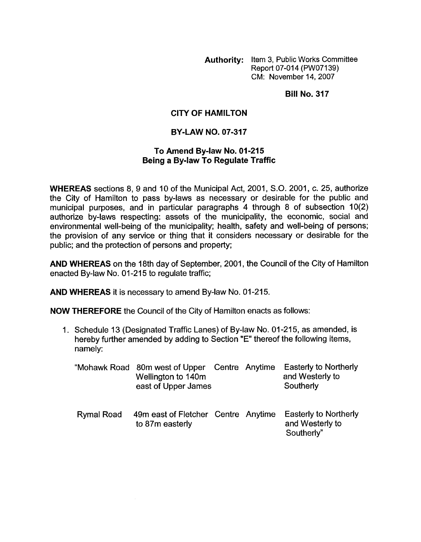**Authority:** Item 3, Public Works Committee Report 07-014 (PW07139) CM: November 14,2007

**Bill No. 317** 

## **CITY OF HAMILTON**

## **BY-LAW NO. 07-317**

## **To Amend By-law No. 01-215 Being a Bylaw To Regulate Traffic**

**WHEREAS** sections 8, 9 and 10 of the Municipal Act, 2001, S.O. 2001, c. 25, authorize the City of Hamilton to pass by-laws as necessary or desirable for the public and municipal purposes, and in particular paragraphs  $4$  through  $8$  of subsection  $10(2)$ authorize by-laws respecting: assets of the municipality, the economic, social and environmental well-being of the municipality; health, safety and well-being of persons; the provision of any service or thing that it considers necessary or desirable for the public; and the protection of persons and property;

**AND WHEREAS** on the 18th day of September, 2001 , the Council of the City of Hamilton enacted By-law No. 01-215 to regulate traffic;

**AND WHEREAS** it is necessary to amend By-law No. 01-215.

**NOW THEREFORE** the Council of the City of Hamilton enacts as follows:

1. Schedule 13 (Designated Traffic Lanes) of By-law No. 01-215, as amended, is hereby further amended by adding to Section "E" thereof the following items, namely:

|                   | "Mohawk Road 80m west of Upper Centre Anytime<br>Wellington to 140m<br>east of Upper James |  | <b>Easterly to Northerly</b><br>and Westerly to<br>Southerly  |
|-------------------|--------------------------------------------------------------------------------------------|--|---------------------------------------------------------------|
| <b>Rymal Road</b> | 49m east of Fletcher Centre Anytime<br>to 87m easterly                                     |  | <b>Easterly to Northerly</b><br>and Westerly to<br>Southerly" |